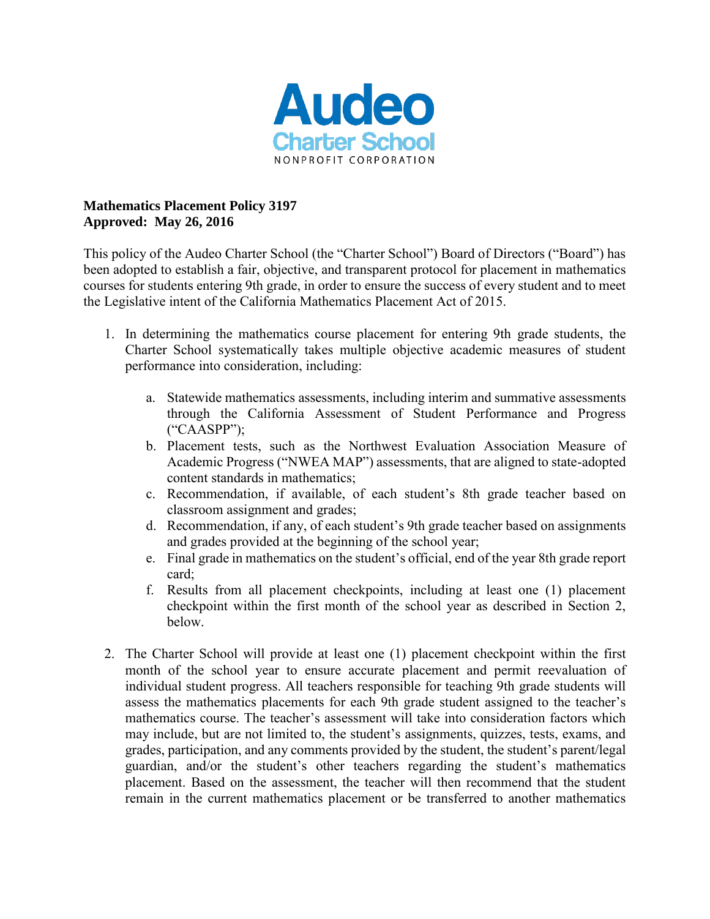

## **Mathematics Placement Policy 3197 Approved: May 26, 2016**

This policy of the Audeo Charter School (the "Charter School") Board of Directors ("Board") has been adopted to establish a fair, objective, and transparent protocol for placement in mathematics courses for students entering 9th grade, in order to ensure the success of every student and to meet the Legislative intent of the California Mathematics Placement Act of 2015.

- 1. In determining the mathematics course placement for entering 9th grade students, the Charter School systematically takes multiple objective academic measures of student performance into consideration, including:
	- a. Statewide mathematics assessments, including interim and summative assessments through the California Assessment of Student Performance and Progress ("CAASPP");
	- b. Placement tests, such as the Northwest Evaluation Association Measure of Academic Progress ("NWEA MAP") assessments, that are aligned to state-adopted content standards in mathematics;
	- c. Recommendation, if available, of each student's 8th grade teacher based on classroom assignment and grades;
	- d. Recommendation, if any, of each student's 9th grade teacher based on assignments and grades provided at the beginning of the school year;
	- e. Final grade in mathematics on the student's official, end of the year 8th grade report card;
	- f. Results from all placement checkpoints, including at least one (1) placement checkpoint within the first month of the school year as described in Section 2, below.
- 2. The Charter School will provide at least one (1) placement checkpoint within the first month of the school year to ensure accurate placement and permit reevaluation of individual student progress. All teachers responsible for teaching 9th grade students will assess the mathematics placements for each 9th grade student assigned to the teacher's mathematics course. The teacher's assessment will take into consideration factors which may include, but are not limited to, the student's assignments, quizzes, tests, exams, and grades, participation, and any comments provided by the student, the student's parent/legal guardian, and/or the student's other teachers regarding the student's mathematics placement. Based on the assessment, the teacher will then recommend that the student remain in the current mathematics placement or be transferred to another mathematics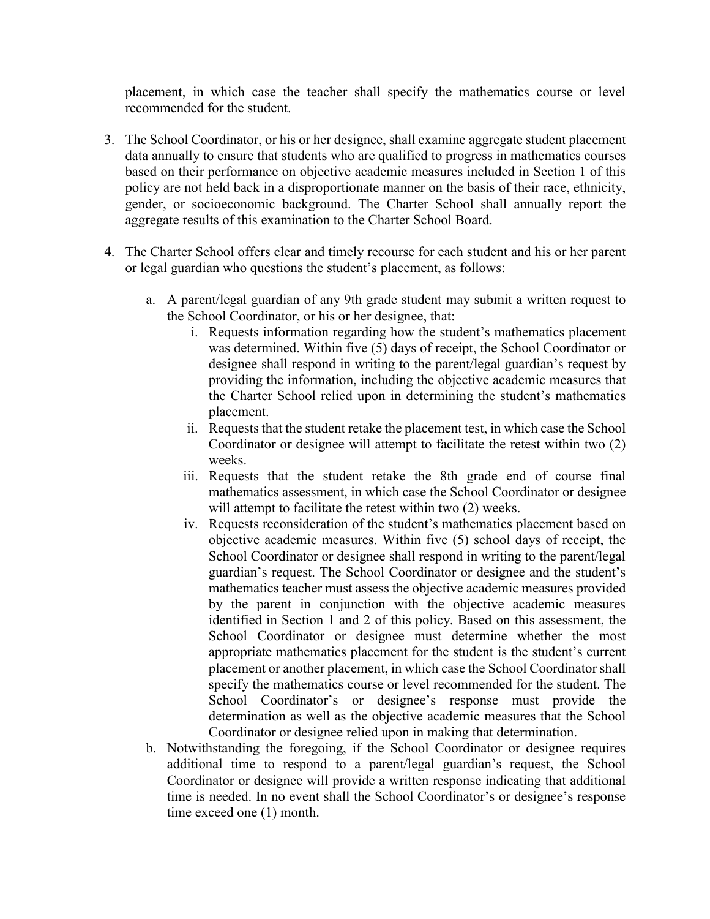placement, in which case the teacher shall specify the mathematics course or level recommended for the student.

- 3. The School Coordinator, or his or her designee, shall examine aggregate student placement data annually to ensure that students who are qualified to progress in mathematics courses based on their performance on objective academic measures included in Section 1 of this policy are not held back in a disproportionate manner on the basis of their race, ethnicity, gender, or socioeconomic background. The Charter School shall annually report the aggregate results of this examination to the Charter School Board.
- 4. The Charter School offers clear and timely recourse for each student and his or her parent or legal guardian who questions the student's placement, as follows:
	- a. A parent/legal guardian of any 9th grade student may submit a written request to the School Coordinator, or his or her designee, that:
		- i. Requests information regarding how the student's mathematics placement was determined. Within five (5) days of receipt, the School Coordinator or designee shall respond in writing to the parent/legal guardian's request by providing the information, including the objective academic measures that the Charter School relied upon in determining the student's mathematics placement.
		- ii. Requests that the student retake the placement test, in which case the School Coordinator or designee will attempt to facilitate the retest within two (2) weeks.
		- iii. Requests that the student retake the 8th grade end of course final mathematics assessment, in which case the School Coordinator or designee will attempt to facilitate the retest within two  $(2)$  weeks.
		- iv. Requests reconsideration of the student's mathematics placement based on objective academic measures. Within five (5) school days of receipt, the School Coordinator or designee shall respond in writing to the parent/legal guardian's request. The School Coordinator or designee and the student's mathematics teacher must assess the objective academic measures provided by the parent in conjunction with the objective academic measures identified in Section 1 and 2 of this policy. Based on this assessment, the School Coordinator or designee must determine whether the most appropriate mathematics placement for the student is the student's current placement or another placement, in which case the School Coordinator shall specify the mathematics course or level recommended for the student. The School Coordinator's or designee's response must provide the determination as well as the objective academic measures that the School Coordinator or designee relied upon in making that determination.
	- b. Notwithstanding the foregoing, if the School Coordinator or designee requires additional time to respond to a parent/legal guardian's request, the School Coordinator or designee will provide a written response indicating that additional time is needed. In no event shall the School Coordinator's or designee's response time exceed one (1) month.